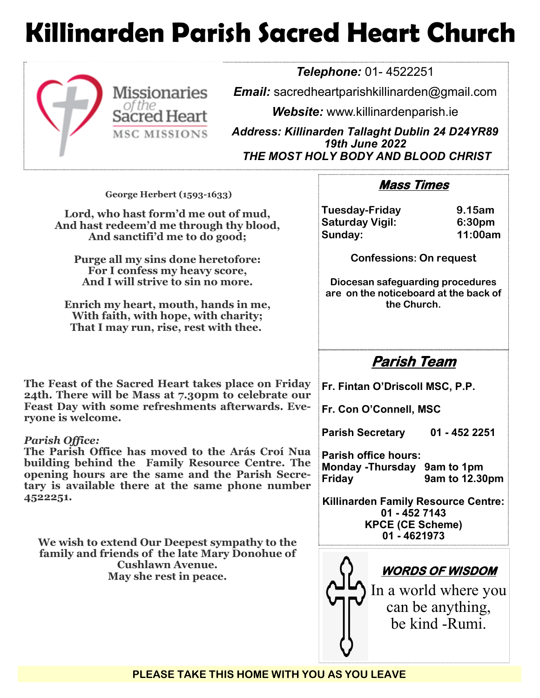## **Killinarden Parish Sacred Heart Church**



*Telephone:* 01- 4522251

*Email:* sacredheartparishkillinarden@gmail.com

*Website:* www.killinardenparish.ie

*Address: Killinarden Tallaght Dublin 24 D24YR89 19th June 2022 THE MOST HOLY BODY AND BLOOD CHRIST*

| George Herbert (1593-1633)                                                                                                                                                                                                                                                                                                                                                                                                                                                                                                                                                                | <b>Mass Times</b>                                                                                                                                                                                                                                                                                                                                          |
|-------------------------------------------------------------------------------------------------------------------------------------------------------------------------------------------------------------------------------------------------------------------------------------------------------------------------------------------------------------------------------------------------------------------------------------------------------------------------------------------------------------------------------------------------------------------------------------------|------------------------------------------------------------------------------------------------------------------------------------------------------------------------------------------------------------------------------------------------------------------------------------------------------------------------------------------------------------|
| Lord, who hast form'd me out of mud,<br>And hast redeem'd me through thy blood,<br>And sanctifi'd me to do good;<br>Purge all my sins done heretofore:<br>For I confess my heavy score,<br>And I will strive to sin no more.<br>Enrich my heart, mouth, hands in me,<br>With faith, with hope, with charity;<br>That I may run, rise, rest with thee.                                                                                                                                                                                                                                     | 9.15am<br><b>Tuesday-Friday</b><br><b>Saturday Vigil:</b><br>6:30pm<br>11:00am<br>Sunday:<br><b>Confessions: On request</b><br>Diocesan safeguarding procedures<br>are on the noticeboard at the back of<br>the Church.                                                                                                                                    |
| The Feast of the Sacred Heart takes place on Friday<br>24th. There will be Mass at 7.30pm to celebrate our<br>Feast Day with some refreshments afterwards. Eve-<br>ryone is welcome.<br>Parish Office:<br>The Parish Office has moved to the Arás Croí Nua<br>building behind the Family Resource Centre. The<br>opening hours are the same and the Parish Secre-<br>tary is available there at the same phone number<br>4522251.<br>We wish to extend Our Deepest sympathy to the<br>family and friends of the late Mary Donohue of<br><b>Cushlawn Avenue.</b><br>May she rest in peace. | Parish Team<br>Fr. Fintan O'Driscoll MSC, P.P.<br>Fr. Con O'Connell, MSC<br><b>Parish Secretary</b><br>01 - 452 2251<br><b>Parish office hours:</b><br>Monday - Thursday 9am to 1pm<br>9am to 12.30pm<br><b>Friday</b><br><b>Killinarden Family Resource Centre:</b><br>01 - 452 7143<br><b>KPCE (CE Scheme)</b><br>01 - 4621973<br><u>WORDS OF WISDOM</u> |
|                                                                                                                                                                                                                                                                                                                                                                                                                                                                                                                                                                                           | In a world where you<br>can be anything,<br>be kind -Rumi.                                                                                                                                                                                                                                                                                                 |